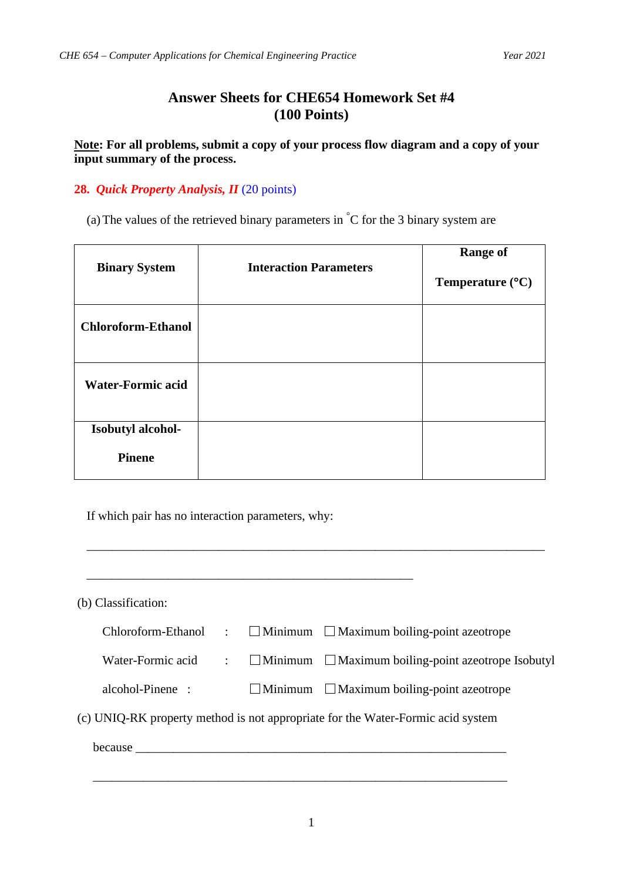## **Answer Sheets for CHE654 Homework Set #4 (100 Points)**

**Note: For all problems, submit a copy of your process flow diagram and a copy of your input summary of the process.**

## **28.** *Quick Property Analysis, II* (20 points)

(a) The values of the retrieved binary parameters in  $\mathrm{C}$  for the 3 binary system are

| <b>Binary System</b>      | <b>Interaction Parameters</b> |                           |
|---------------------------|-------------------------------|---------------------------|
|                           |                               | Temperature $(^{\circ}C)$ |
| <b>Chloroform-Ethanol</b> |                               |                           |
| <b>Water-Formic acid</b>  |                               |                           |
| Isobutyl alcohol-         |                               |                           |
| <b>Pinene</b>             |                               |                           |

If which pair has no interaction parameters, why:

| (b) Classification:                                                             |                      |  |                                                                |  |
|---------------------------------------------------------------------------------|----------------------|--|----------------------------------------------------------------|--|
| Chloroform-Ethanol                                                              | $\cdot$ .            |  | $\Box$ Minimum $\Box$ Maximum boiling-point azeotrope          |  |
| Water-Formic acid                                                               | $\ddot{\phantom{a}}$ |  | $\Box$ Minimum $\Box$ Maximum boiling-point azeotrope Isobutyl |  |
| alcohol-Pinene :                                                                |                      |  | $\Box$ Minimum $\Box$ Maximum boiling-point azeotrope          |  |
| (c) UNIQ-RK property method is not appropriate for the Water-Formic acid system |                      |  |                                                                |  |
|                                                                                 |                      |  |                                                                |  |
|                                                                                 |                      |  |                                                                |  |

\_\_\_\_\_\_\_\_\_\_\_\_\_\_\_\_\_\_\_\_\_\_\_\_\_\_\_\_\_\_\_\_\_\_\_\_\_\_\_\_\_\_\_\_\_\_\_\_\_\_\_\_\_\_\_\_\_\_\_\_\_\_\_\_\_\_\_\_\_\_\_\_\_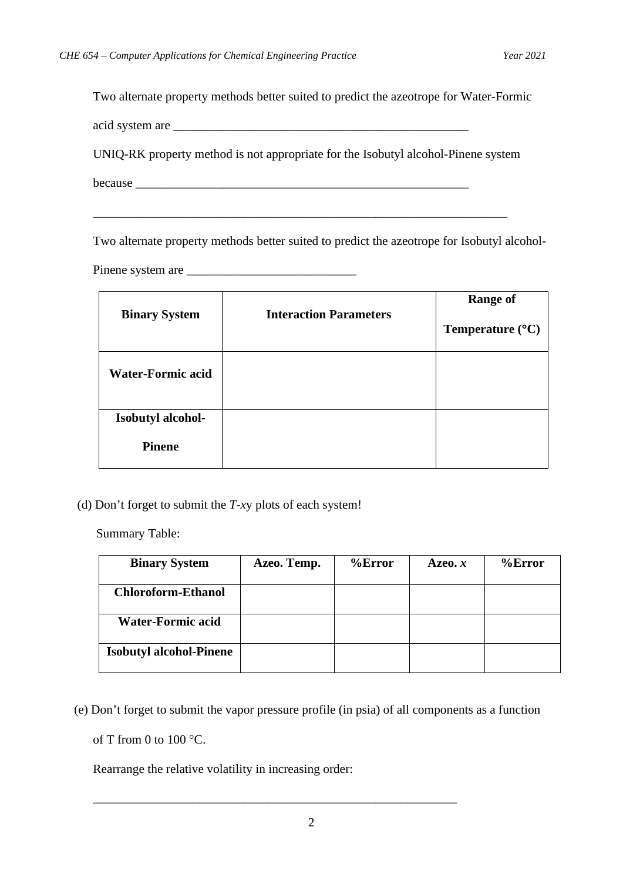Two alternate property methods better suited to predict the azeotrope for Water-Formic

acid system are \_\_\_\_\_\_\_\_\_\_\_\_\_\_\_\_\_\_\_\_\_\_\_\_\_\_\_\_\_\_\_\_\_\_\_\_\_\_\_\_\_\_\_\_\_\_\_

UNIQ-RK property method is not appropriate for the Isobutyl alcohol-Pinene system

\_\_\_\_\_\_\_\_\_\_\_\_\_\_\_\_\_\_\_\_\_\_\_\_\_\_\_\_\_\_\_\_\_\_\_\_\_\_\_\_\_\_\_\_\_\_\_\_\_\_\_\_\_\_\_\_\_\_\_\_\_\_\_\_\_\_

because \_\_\_\_\_\_\_\_\_\_\_\_\_\_\_\_\_\_\_\_\_\_\_\_\_\_\_\_\_\_\_\_\_\_\_\_\_\_\_\_\_\_\_\_\_\_\_\_\_\_\_\_\_

Two alternate property methods better suited to predict the azeotrope for Isobutyl alcohol-

Pinene system are \_\_\_\_\_\_\_\_\_\_\_\_\_\_\_\_\_\_\_\_\_\_\_\_\_\_\_

|                          |                               | <b>Range of</b>           |  |
|--------------------------|-------------------------------|---------------------------|--|
| <b>Binary System</b>     | <b>Interaction Parameters</b> | Temperature $(^{\circ}C)$ |  |
| <b>Water-Formic acid</b> |                               |                           |  |
| Isobutyl alcohol-        |                               |                           |  |
| <b>Pinene</b>            |                               |                           |  |

(d) Don't forget to submit the *T*-*x*y plots of each system!

Summary Table:

| <b>Binary System</b>           | Azeo. Temp. | $%$ Error | Azeo. $x$ | $%$ Error |
|--------------------------------|-------------|-----------|-----------|-----------|
| <b>Chloroform-Ethanol</b>      |             |           |           |           |
| <b>Water-Formic acid</b>       |             |           |           |           |
| <b>Isobutyl alcohol-Pinene</b> |             |           |           |           |

(e) Don't forget to submit the vapor pressure profile (in psia) of all components as a function

of T from 0 to  $100^{\circ}$ C.

Rearrange the relative volatility in increasing order:

\_\_\_\_\_\_\_\_\_\_\_\_\_\_\_\_\_\_\_\_\_\_\_\_\_\_\_\_\_\_\_\_\_\_\_\_\_\_\_\_\_\_\_\_\_\_\_\_\_\_\_\_\_\_\_\_\_\_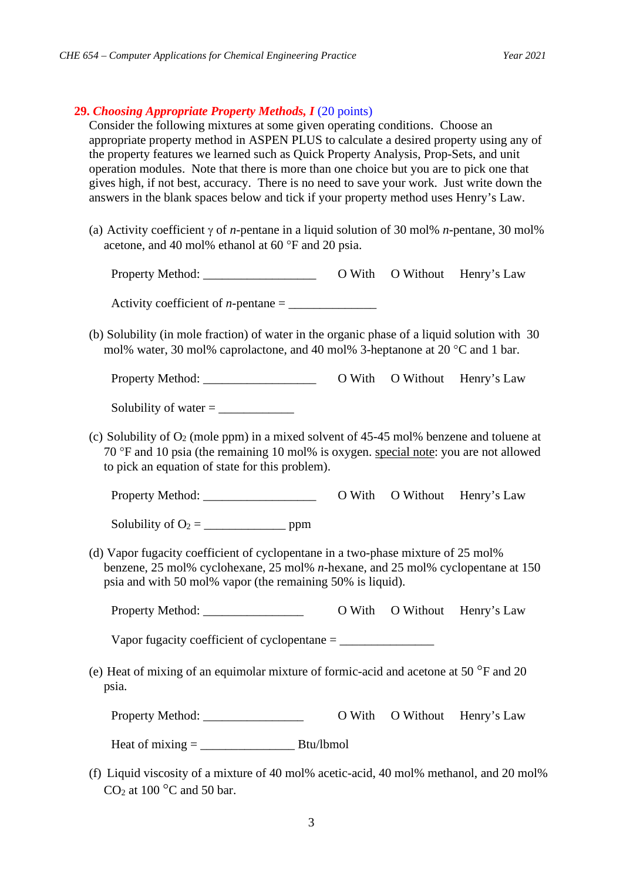## **29.** *Choosing Appropriate Property Methods, I* (20 points)

Consider the following mixtures at some given operating conditions. Choose an appropriate property method in ASPEN PLUS to calculate a desired property using any of the property features we learned such as Quick Property Analysis, Prop-Sets, and unit operation modules. Note that there is more than one choice but you are to pick one that gives high, if not best, accuracy. There is no need to save your work. Just write down the answers in the blank spaces below and tick if your property method uses Henry's Law.

(a) Activity coefficient γ of *n*-pentane in a liquid solution of 30 mol% *n*-pentane, 30 mol% acetone, and 40 mol% ethanol at 60 °F and 20 psia.

Property Method: \_\_\_\_\_\_\_\_\_\_\_\_\_\_\_\_\_\_ O With O Without Henry's Law

Activity coefficient of *n*-pentane  $=$ 

(b) Solubility (in mole fraction) of water in the organic phase of a liquid solution with 30 mol% water, 30 mol% caprolactone, and 40 mol% 3-heptanone at 20 °C and 1 bar.

Property Method: \_\_\_\_\_\_\_\_\_\_\_\_\_\_\_\_\_\_ O With O Without Henry's Law

Solubility of water  $=$ 

(c) Solubility of  $O_2$  (mole ppm) in a mixed solvent of 45-45 mol% benzene and toluene at 70 °F and 10 psia (the remaining 10 mol% is oxygen. special note: you are not allowed to pick an equation of state for this problem).

Property Method: \_\_\_\_\_\_\_\_\_\_\_\_\_\_\_\_\_\_ O With O Without Henry's Law

Solubility of  $O_2 = \_$  ppm

(d) Vapor fugacity coefficient of cyclopentane in a two-phase mixture of 25 mol% benzene, 25 mol% cyclohexane, 25 mol% *n*-hexane, and 25 mol% cyclopentane at 150 psia and with 50 mol% vapor (the remaining 50% is liquid).

Property Method: \_\_\_\_\_\_\_\_\_\_\_\_\_\_\_\_ O With O Without Henry's Law

Vapor fugacity coefficient of cyclopentane = \_\_\_\_\_\_\_\_\_\_\_\_\_\_\_

(e) Heat of mixing of an equimolar mixture of formic-acid and acetone at 50 °F and 20 psia.

Property Method:  $\overline{O}$  With  $\overline{O}$  Without Henry's Law

Heat of  $mixing =$  Btu/lbmol

(f) Liquid viscosity of a mixture of 40 mol% acetic-acid, 40 mol% methanol, and 20 mol%  $CO<sub>2</sub>$  at 100  $^{\circ}$ C and 50 bar.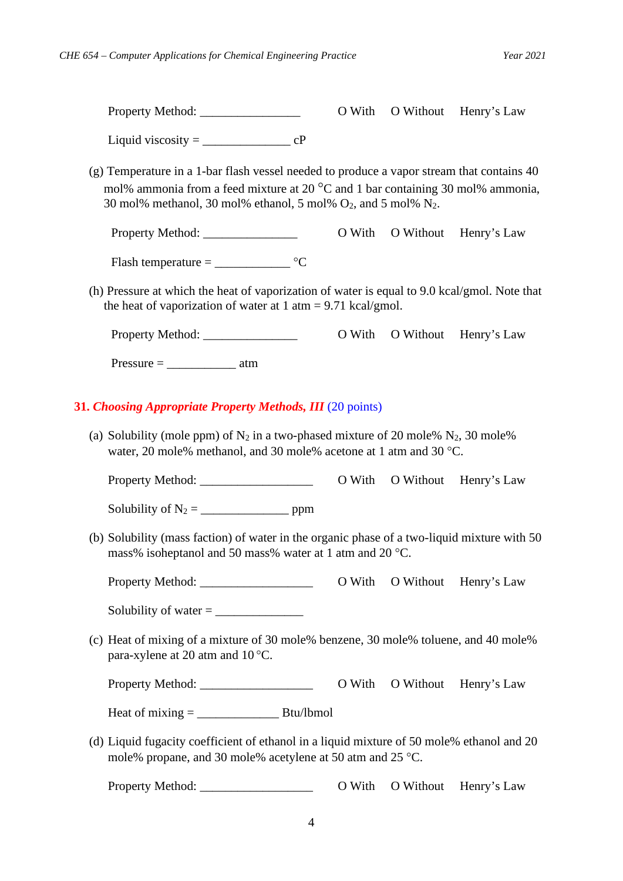|                                                                                                                                                                                                                                                      |        |                  | O With O Without Henry's Law |  |  |  |
|------------------------------------------------------------------------------------------------------------------------------------------------------------------------------------------------------------------------------------------------------|--------|------------------|------------------------------|--|--|--|
|                                                                                                                                                                                                                                                      |        |                  |                              |  |  |  |
| (g) Temperature in a 1-bar flash vessel needed to produce a vapor stream that contains 40<br>mol% ammonia from a feed mixture at 20 °C and 1 bar containing 30 mol% ammonia,<br>30 mol% methanol, 30 mol% ethanol, 5 mol% $O_2$ , and 5 mol% $N_2$ . |        |                  |                              |  |  |  |
| Property Method:                                                                                                                                                                                                                                     |        |                  | O With O Without Henry's Law |  |  |  |
| Flash temperature = $\_\_\_\_\_\_\_\_\$ °C                                                                                                                                                                                                           |        |                  |                              |  |  |  |
| (h) Pressure at which the heat of vaporization of water is equal to 9.0 kcal/gmol. Note that<br>the heat of vaporization of water at $1 \text{ atm} = 9.71 \text{ kcal/gmol}$ .                                                                      |        |                  |                              |  |  |  |
| Property Method:                                                                                                                                                                                                                                     |        |                  | O With O Without Henry's Law |  |  |  |
| $Pressure = \_ \_ \_$ atm                                                                                                                                                                                                                            |        |                  |                              |  |  |  |
| 31. Choosing Appropriate Property Methods, III (20 points)                                                                                                                                                                                           |        |                  |                              |  |  |  |
| (a) Solubility (mole ppm) of $N_2$ in a two-phased mixture of 20 mole% $N_2$ , 30 mole%<br>water, 20 mole% methanol, and 30 mole% acetone at 1 atm and 30 °C.                                                                                        |        |                  |                              |  |  |  |
|                                                                                                                                                                                                                                                      | O With |                  | O Without Henry's Law        |  |  |  |
|                                                                                                                                                                                                                                                      |        |                  |                              |  |  |  |
| (b) Solubility (mass faction) of water in the organic phase of a two-liquid mixture with 50<br>mass% isoheptanol and 50 mass% water at 1 atm and 20 °C.                                                                                              |        |                  |                              |  |  |  |
|                                                                                                                                                                                                                                                      |        |                  | O With O Without Henry's Law |  |  |  |
|                                                                                                                                                                                                                                                      |        |                  |                              |  |  |  |
| (c) Heat of mixing of a mixture of 30 mole% benzene, 30 mole% toluene, and 40 mole%<br>para-xylene at 20 atm and 10 °C.                                                                                                                              |        |                  |                              |  |  |  |
|                                                                                                                                                                                                                                                      |        | O With O Without | Henry's Law                  |  |  |  |
| Heat of $mixing =$ Btu/lbmol                                                                                                                                                                                                                         |        |                  |                              |  |  |  |
| (d) Liquid fugacity coefficient of ethanol in a liquid mixture of 50 mole% ethanol and 20<br>mole% propane, and 30 mole% acetylene at 50 atm and 25 °C.                                                                                              |        |                  |                              |  |  |  |
|                                                                                                                                                                                                                                                      | O With | O Without        | Henry's Law                  |  |  |  |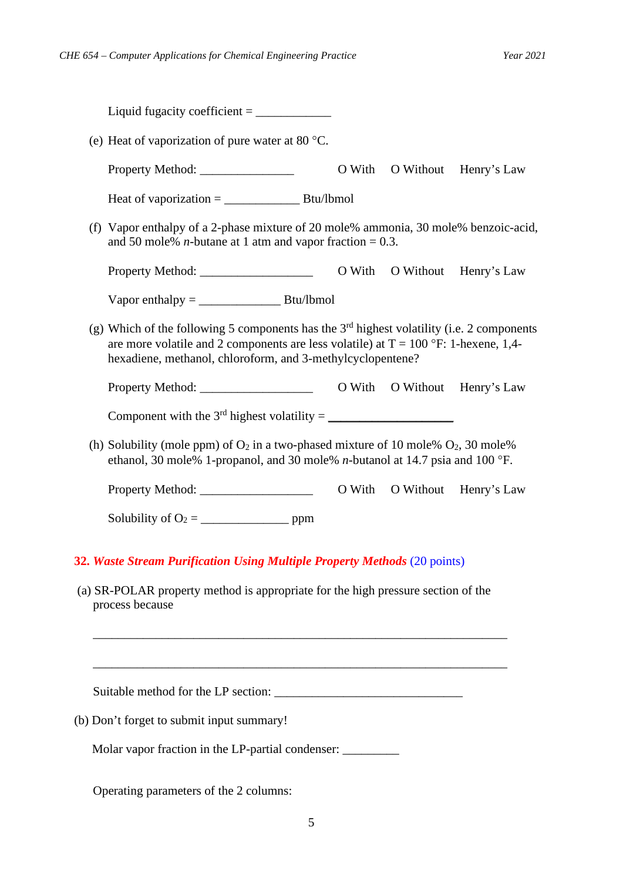| (e) Heat of vaporization of pure water at 80 $^{\circ}$ C.                                                                                                                                                                                         |  |  |                              |
|----------------------------------------------------------------------------------------------------------------------------------------------------------------------------------------------------------------------------------------------------|--|--|------------------------------|
| Property Method:                                                                                                                                                                                                                                   |  |  | O With O Without Henry's Law |
|                                                                                                                                                                                                                                                    |  |  |                              |
| (f) Vapor enthalpy of a 2-phase mixture of 20 mole% ammonia, 30 mole% benzoic-acid,<br>and 50 mole% <i>n</i> -butane at 1 atm and vapor fraction = 0.3.                                                                                            |  |  |                              |
|                                                                                                                                                                                                                                                    |  |  | O With O Without Henry's Law |
| Vapor enthalpy = $\frac{S}{S}$                                                                                                                                                                                                                     |  |  |                              |
| (g) Which of the following 5 components has the $3rd$ highest volatility (i.e. 2 components<br>are more volatile and 2 components are less volatile) at $T = 100$ °F: 1-hexene, 1,4-<br>hexadiene, methanol, chloroform, and 3-methylcyclopentene? |  |  |                              |
|                                                                                                                                                                                                                                                    |  |  |                              |
|                                                                                                                                                                                                                                                    |  |  |                              |
| (h) Solubility (mole ppm) of $O_2$ in a two-phased mixture of 10 mole% $O_2$ , 30 mole%<br>ethanol, 30 mole% 1-propanol, and 30 mole% <i>n</i> -butanol at 14.7 psia and 100 °F.                                                                   |  |  |                              |
|                                                                                                                                                                                                                                                    |  |  | O With O Without Henry's Law |
|                                                                                                                                                                                                                                                    |  |  |                              |
| 32. Waste Stream Purification Using Multiple Property Methods (20 points)                                                                                                                                                                          |  |  |                              |
| (a) SR-POLAR property method is appropriate for the high pressure section of the<br>process because                                                                                                                                                |  |  |                              |
|                                                                                                                                                                                                                                                    |  |  |                              |
| (b) Don't forget to submit input summary!                                                                                                                                                                                                          |  |  |                              |
| Molar vapor fraction in the LP-partial condenser: _______                                                                                                                                                                                          |  |  |                              |

Operating parameters of the 2 columns: